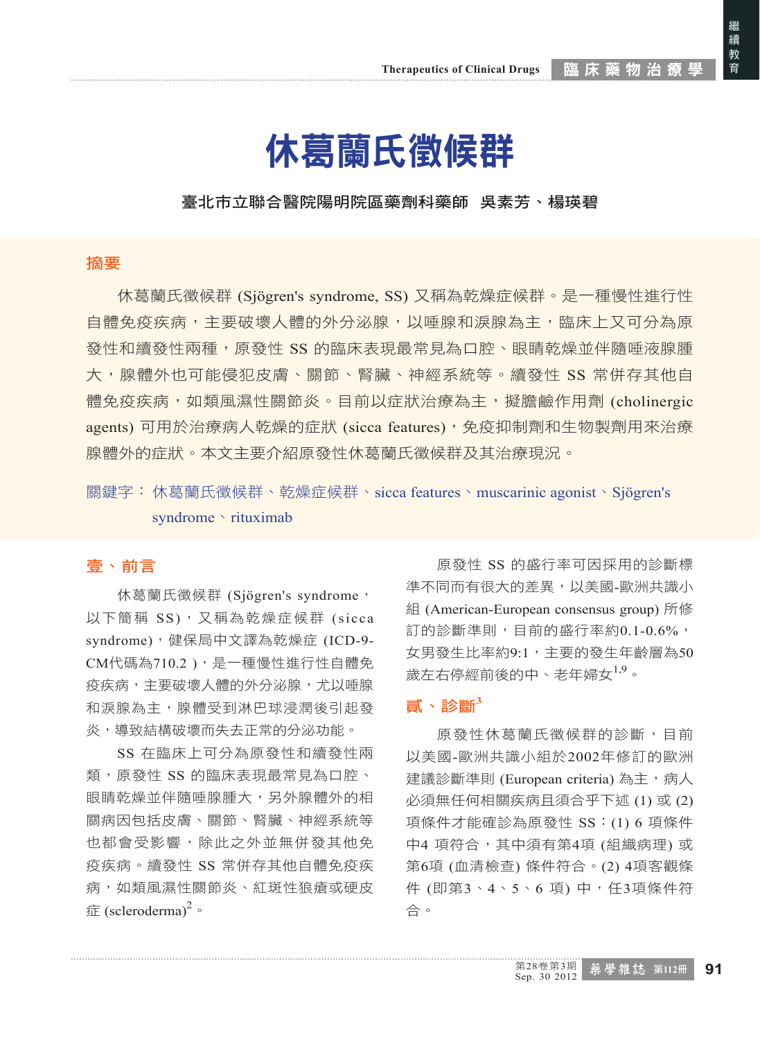繼續教育

繼 #續 教育

## 休葛蘭氏徵候群

### 臺北市立聯合醫院陽明院區藥劑科藥師 吳素芳、楊瑛碧

#### 摘要

休葛蘭氏徵候群 (Sjögren's syndrome, SS) 又稱為乾燥症候群。是一種慢性進行性 自體免疫疾病,主要破壞人體的外分泌腺,以唾腺和淚腺為主,臨床上又可分為原 發性和續發性兩種,原發性 SS 的臨床表現最常見為口腔、眼睛乾燥並伴隨唾液腺腫 大,腺體外也可能侵犯皮膚、關節、腎臟、神經系統等。續發性 SS 常併存其他自 體免疫疾病,如類風濕性關節炎。目前以症狀治療為主,擬膽鹼作用劑 (cholinergic agents) 可用於治療病人乾燥的症狀 (sicca features), 免疫抑制劑和生物製劑用來治療 腺體外的症狀。本文主要介紹原發性休葛蘭氏徵候群及其治療現況。

關鍵字: 休葛蘭氏徵候群、乾燥症候群、sicca features、muscarinic agonist、Sjögren's syndrome vrituximab

## 壹、前言

休葛蘭氏徵候群 (Sjögren's syndrome, 以下簡稱 SS), 又稱為乾燥症候群 (sicca syndrome),健保局中文譯為乾燥症 (ICD-9- CM代碼為710.2),是一種慢性進行性自體免 疫疾病,主要破壞人體的外分泌腺,尤以唾腺 和淚腺為主,腺體受到淋巴球浸潤後引起發 炎,導致結構破壞而失去正常的分泌功能。

SS 在臨床上可分為原發性和續發性兩 類,原發性 SS 的臨床表現最常見為口腔、 眼睛乾燥並伴隨唾腺腫大,另外腺體外的相 關病因包括皮膚、關節、腎臟、神經系統等 也都會受影響,除此之外並無併發其他免 疫疾病。續發性 SS 常併存其他自體免疫疾 病,如類風濕性關節炎、紅斑性狼瘡或硬皮 症 (scleroderma)<sup>2</sup>。

原發性 SS 的盛行率可因採用的診斷標 準不同而有很大的差異,以美國-歐洲共識小 組 (American-European consensus group) 所修 訂的診斷準則,目前的盛行率約0.1-0.6%, 女男發生比率約9:1,主要的發生年齡層為50 歲左右停經前後的中、老年婦女<sup>1,9</sup>。

#### 貳、診斷**<sup>3</sup>**

原發性休葛蘭氏徵候群的診斷,目前 以美國-歐洲共識小組於2002年修訂的歐洲 建議診斷準則 (European criteria) 為主,病人 必須無任何相關疾病且須合乎下述 (1) 或 (2) 項條件才能確診為原發性 SS:(1) 6 項條件 中4 項符合,其中須有第4項 (組織病理) 或 第6項 (血清檢查) 條件符合。(2) 4項客觀條 件 (即第3、4、5、6 項) 中, 任3項條件符 合。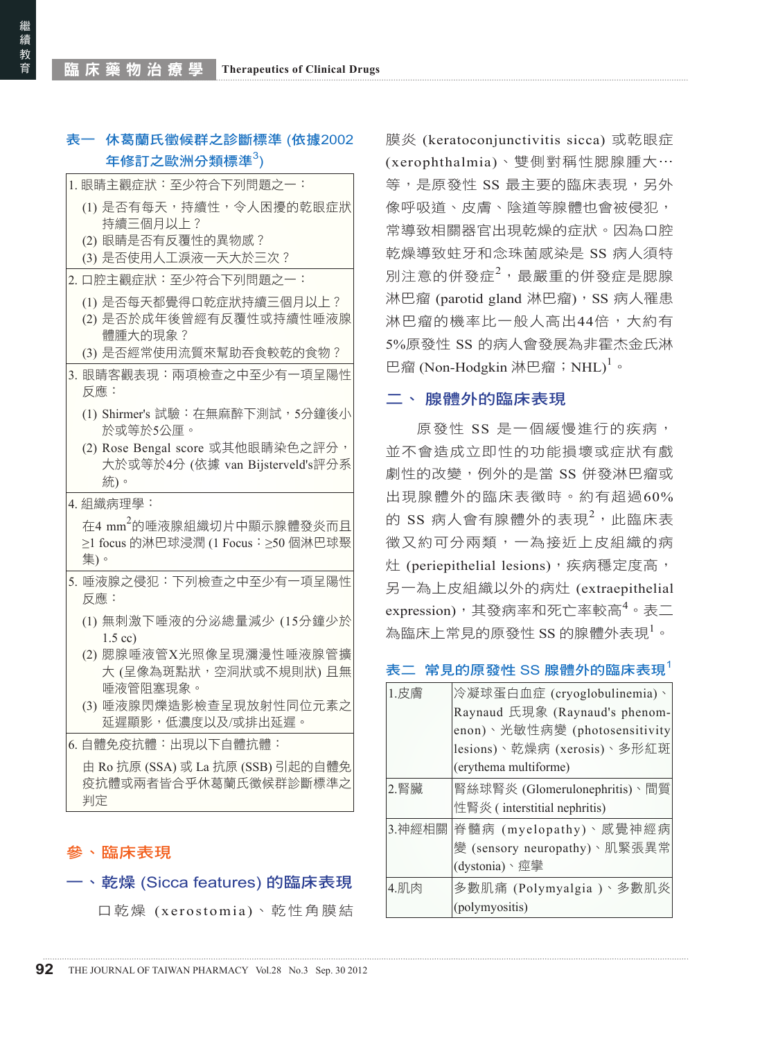## 表一 休葛蘭氏徵候群之診斷標準 (依據2002 年修訂之歐洲分類標準 $^3$ )

| 1. 眼睛主觀症狀:至少符合下列問題之一:                                                              |
|------------------------------------------------------------------------------------|
| (1) 是否有每天,持續性,令人困擾的乾眼症狀<br>持續三個月以上?                                                |
| (2) 眼睛是否有反覆性的異物感?<br>(3) 是否使用人工淚液一天大於三次?                                           |
| 2. 口腔主觀症狀:至少符合下列問題之一:                                                              |
| (1) 是否每天都覺得口乾症狀持續三個月以上?<br>(2) 是否於成年後曾經有反覆性或持續性唾液腺<br>體腫大的現象?                      |
| (3) 是否經常使用流質來幫助吞食較乾的食物?                                                            |
| 3. 眼睛客觀表現:兩項檢查之中至少有一項呈陽性<br>反應:                                                    |
| (1) Shirmer's 試驗:在無麻醉下測試,5分鐘後小<br>於或等於5公厘。                                         |
| (2) Rose Bengal score 或其他眼睛染色之評分,<br>大於或等於4分 (依據 van Bijsterveld's評分系<br>統)。       |
| 4. 組織病理學:                                                                          |
| 在4 mm <sup>2</sup> 的唾液腺組織切片中顯示腺體發炎而且<br>≥1 focus 的淋巴球浸潤 (1 Focus: ≥50 個淋巴球聚<br>集)。 |
| 5. 唾液腺之侵犯:下列檢查之中至少有一項呈陽性<br>反應:                                                    |
| (1) 無刺激下唾液的分泌總量減少 (15分鐘少於<br>$1.5$ cc)                                             |
| (2) 腮腺唾液管X光照像呈現瀰漫性唾液腺管擴<br>大 (呈像為斑點狀,空洞狀或不規則狀)且無<br>唾液管阻塞現象。                       |
| (3) 唾液腺閃爍造影檢查呈現放射性同位元素之<br>延遲顯影,低濃度以及/或排出延遲。                                       |
| 6. 自體免疫抗體:出現以下自體抗體:                                                                |
|                                                                                    |

疫抗體或兩者皆合乎休葛蘭氏徵候群診斷標準之 判定

## 參、臨床表現

### 一、乾燥 (Sicca features) 的臨床表現

口乾燥 (xerostomia)、乾性角膜結

膜炎 (keratoconjunctivitis sicca) 或乾眼症 (xerophthalmia)、雙側對稱性腮腺腫大⋯ 等,是原發性 SS 最主要的臨床表現,另外 像呼吸道、皮膚、陰道等腺體也會被侵犯, 常導致相關器官出現乾燥的症狀。因為口腔 乾燥導致蛀牙和念珠菌感染是 SS 病人須特 別注意的併發症<sup>2,</sup>最嚴重的併發症是腮腺 淋巴瘤 (parotid gland 淋巴瘤), SS 病人罹患 淋巴瘤的機率比一般人高出44倍,大約有 5%原發性 SS 的病人會發展為非霍杰金氏淋 巴瘤 (Non-Hodgkin 淋巴瘤;NHL)<sup>1</sup>。

#### 二、 腺體外的臨床表現

原發性 SS 是一個緩慢進行的疾病, 並不會造成立即性的功能損壞或症狀有戲 劇性的改變,例外的是當 SS 併發淋巴瘤或 出現腺體外的臨床表徵時。約有超過60% 的 SS 病人會有腺體外的表現 $^2$ ,此臨床表 徵又約可分兩類,一為接近上皮組織的病 灶 (periepithelial lesions), 疾病穩定度高, 另一為上皮組織以外的病灶 (extraepithelial expression),其發病率和死亡率較高<sup>4</sup>。表二 為臨床上常見的原發性 $\,$  SS 的腺體外表現 $^1\, \circ$ 

#### 表二 常見的原發性 SS 腺體外的臨床表現

| 1.皮膚   | 冷凝球蛋白血症 (cryoglobulinemia)、    |
|--------|--------------------------------|
|        | Raynaud 氏現象 (Raynaud's phenom- |
|        | enon)、光敏性病變 (photosensitivity  |
|        | lesions)、乾燥病 (xerosis)、多形紅斑    |
|        | (erythema multiforme)          |
| 2.腎臟   | 腎絲球腎炎 (Glomerulonephritis)、間質  |
|        | 性腎炎 (interstitial nephritis)   |
| 3.神經相關 | 脊髓病 (myelopathy)、感覺神經病         |
|        | 變 (sensory neuropathy)、肌緊張異常   |
|        | (dystonia)、痙攣                  |
| 4.肌肉   | 多數肌痛 (Polymyalgia )、多數肌炎       |
|        | (polymyositis)                 |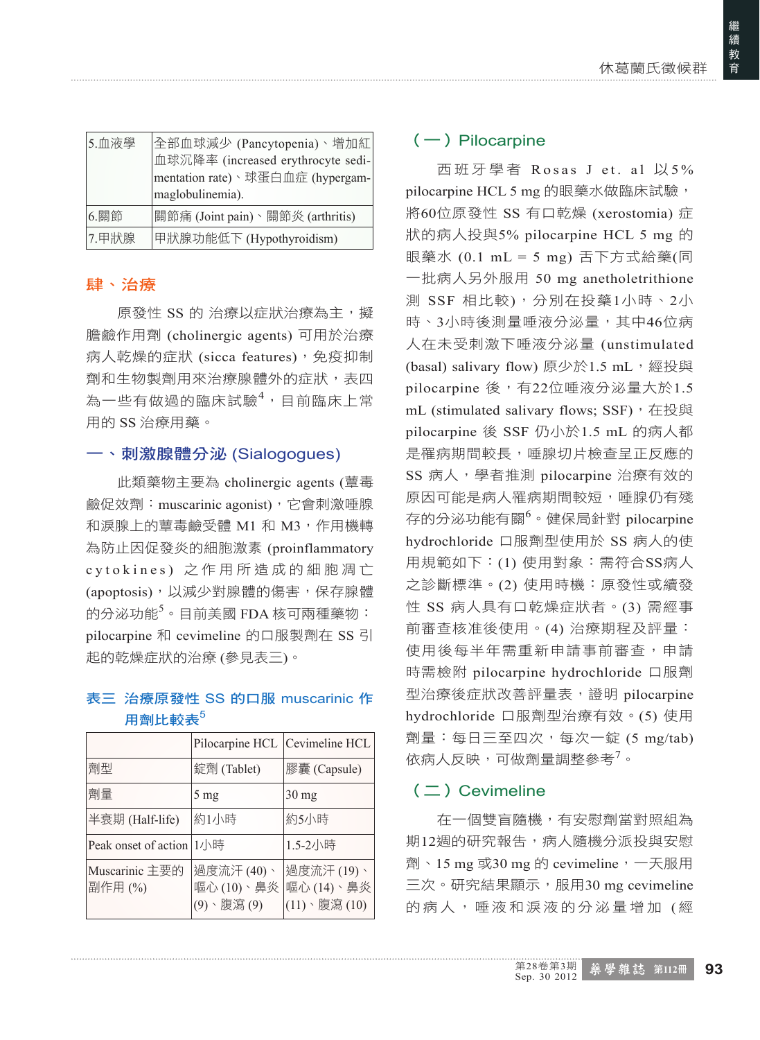| 5.血液學 | 全部血球減少 (Pancytopenia)、增加紅<br>血球沉降率 (increased erythrocyte sedi-<br>mentation rate)、球蛋白血症 (hypergam-<br>maglobulinemia). |
|-------|-------------------------------------------------------------------------------------------------------------------------|
| 6. 關節 | 關節痛 (Joint pain)、關節炎 (arthritis)                                                                                        |
| 7.甲狀腺 | 甲狀腺功能低下 (Hypothyroidism)                                                                                                |

## 肆、治療

原發性 SS 的 治療以症狀治療為主,擬 膽鹼作用劑 (cholinergic agents) 可用於治療 病人乾燥的症狀 (sicca features), 免疫抑制 劑和生物製劑用來治療腺體外的症狀,表四 為一些有做過的臨床試驗<sup>4,</sup>目前臨床上常 用的 SS 治療用藥。

## 一、刺激腺體分泌 (Sialogogues)

此類藥物主要為 cholinergic agents (蕈毒 鹼促效劑:muscarinic agonist),它會刺激唾腺 和淚腺上的蕈毒鹼受體 M1 和 M3,作用機轉 為防止因促發炎的細胞激素 (proinflammatory c y t o k i n e s ) 之 作 用 所 造 成 的 細 胞 凋 亡 (apoptosis),以減少對腺體的傷害,保存腺體 的分泌功能<sup>5</sup>。目前美國 FDA 核可兩種藥物: pilocarpine 和 cevimeline 的口服製劑在 SS 引 起的乾燥症狀的治療 (參見表三)。

## 表三 治療原發性 SS 的口服 muscarinic 作 用劑比較表 $5$

|                          | Pilocarpine HCL Cevimeline HCL        |                                         |
|--------------------------|---------------------------------------|-----------------------------------------|
| 劑型                       | 錠劑 (Tablet)                           | 膠囊 (Capsule)                            |
| 劑量                       | $5 \text{ mg}$                        | $30 \text{ mg}$                         |
| 半衰期 (Half-life)          | 約1小時                                  | 約5小時                                    |
| Peak onset of action 1小時 |                                       | 1.5-2小時                                 |
| Muscarinic 主要的<br>副作用(%) | 過度流汗(40)、<br>嘔心 (10)、鼻炎<br>(9)、腹瀉 (9) | 過度流汗 (19)、<br>嘔心 (14)、鼻炎<br>(11)、腹瀉(10) |

## $(-)$  Pilocarpine

西班牙學者 Rosas J et. al 以5% pilocarpine HCL 5 mg 的眼藥水做臨床試驗, 將60位原發性 SS 有口乾燥 (xerostomia) 症 狀的病人投與5% pilocarpine HCL 5 mg 的 眼藥水 (0.1 mL = 5 mg) 舌下方式給藥(同 一批病人另外服用 50 mg anetholetrithione 測 SSF 相比較),分別在投藥1小時、2小 時、3小時後測量唾液分泌量,其中46位病 人在未受刺激下唾液分泌量 (unstimulated (basal) salivary flow) 原少於1.5 mL, 經投與 pilocarpine 後,有22位唾液分泌量大於1.5 mL (stimulated salivary flows; SSF), 在投與 pilocarpine 後 SSF 仍小於1.5 mL 的病人都 是罹病期間較長,唾腺切片檢查呈正反應的 SS 病人, 學者推測 pilocarpine 治療有效的 原因可能是病人罹病期間較短,唾腺仍有殘 存的分泌功能有關<sup>6</sup>。健保局針對 pilocarpine hydrochloride 口服劑型使用於 SS 病人的使 用規範如下:(1) 使用對象:需符合SS病人 之診斷標準。(2) 使用時機:原發性或續發 性 SS 病人具有口乾燥症狀者。(3) 需經事 前審查核准後使用。(4) 治療期程及評量: 使用後每半年需重新申請事前審查,申請 時需檢附 pilocarpine hydrochloride 口服劑 型治療後症狀改善評量表,證明 pilocarpine hydrochloride 口服劑型治療有效。(5) 使用 劑量:每日三至四次,每次一錠 (5 mg/tab) 依病人反映,可做劑量調整參考<sup>7</sup>。

## $($   $\Box$ ) Cevimeline

在一個雙盲隨機,有安慰劑當對照組為 期12週的研究報告,病人隨機分派投與安慰 劑、15 mg 或30 mg 的 cevimeline,一天服用 三次。研究結果顯示,服用30 mg cevimeline 的病人,唾液和淚液的分泌量增加 (經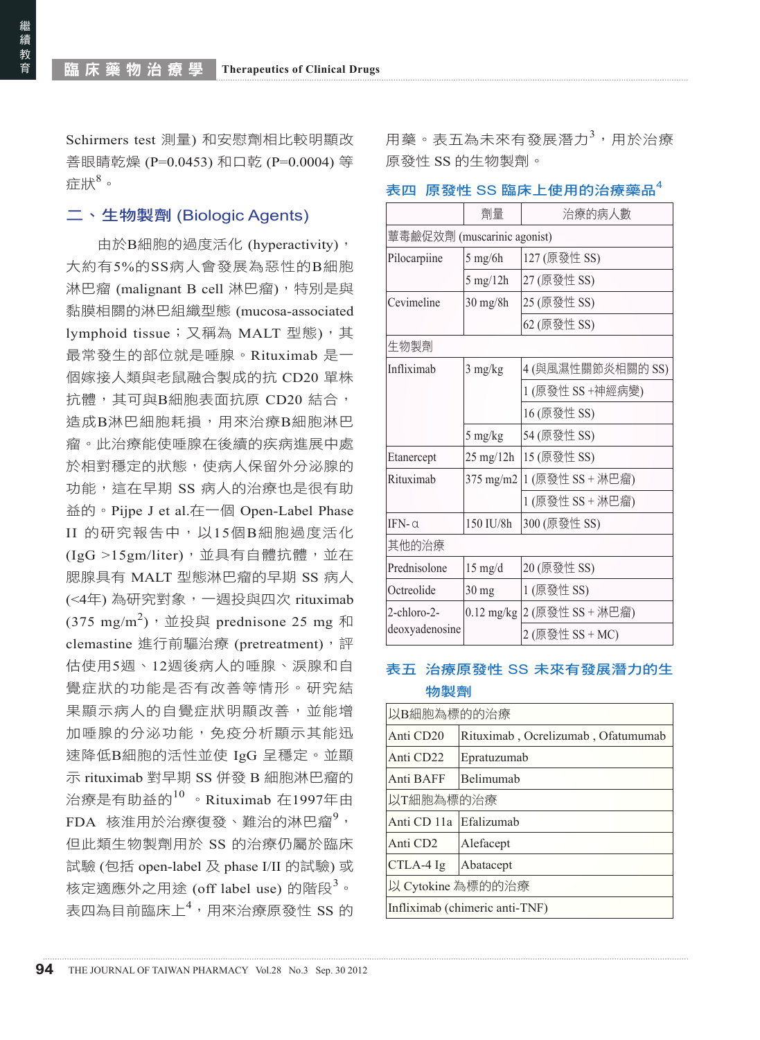Schirmers test 測量) 和安慰劑相比較明顯改 善眼睛乾燥 (P=0.0453) 和口乾 (P=0.0004) 等 症狀 $^8$ 。

#### 二、生物製劑 (Biologic Agents)

由於B細胞的過度活化 (hyperactivity), 大約有5%的SS病人會發展為惡性的B細胞 淋巴瘤 (malignant B cell 淋巴瘤),特別是與 黏膜相關的淋巴組織型態 (mucosa-associated lymphoid tissue; 又稱為 MALT 型態), 其 最常發生的部位就是唾腺。Rituximab 是一 個嫁接人類與老鼠融合製成的抗 CD20 單株 抗體,其可與B細胞表面抗原 CD20 結合, 造成B淋巴細胞耗損,用來治療B細胞淋巴 瘤。此治療能使唾腺在後續的疾病進展中處 於相對穩定的狀態,使病人保留外分泌腺的 功能, 狺在早期 SS 病人的治療也是很有助 益的。Pijpe J et al.在一個 Open-Label Phase II 的研究報告中,以15個B細胞過度活化 (IgG >15gm/liter),並具有自體抗體,並在 腮腺具有 MALT 型態淋巴瘤的早期 SS 病人 (<4年) 為研究對象,一週投與四次 rituximab  $(375 \text{ mg/m}^2)$ ,並投與 prednisone 25 mg 和 clemastine 進行前驅治療 (pretreatment),評 估使用5週、12週後病人的唾腺、淚腺和自 覺症狀的功能是否有改善等情形。研究結 果顯示病人的自覺症狀明顯改善,並能增 加唾腺的分泌功能,免疫分析顯示其能迅 速降低B細胞的活性並使 IgG 呈穩定。並顯 示 rituximab 對早期 SS 併發 B 細胞淋巴瘤的 治療是有助益的<sup>10</sup> 。Rituximab 在1997年由 FDA 核淮用於治療復發、難治的淋巴瘤<sup>9</sup>, 但此類生物製劑用於 SS 的治療仍屬於臨床 試驗 (包括 open-label 及 phase I/II 的試驗) 或 核定適應外之用途 (off label use) 的階段<sup>3</sup>。 表四為目前臨床上<sup>4</sup>,用來治療原發性 SS 的

用藥。表五為未來有發展潛力<sup>3,</sup>用於治療 原發性 SS 的生物製劑。

#### 表四 原發性 SS 臨床上使用的治療藥品

|                             | 劑量                       | 治療的病人數            |  |  |  |  |
|-----------------------------|--------------------------|-------------------|--|--|--|--|
| 蕈毒鹼促效劑 (muscarinic agonist) |                          |                   |  |  |  |  |
| Pilocarpiine                | $5$ mg/6h                | 127 (原發性 SS)      |  |  |  |  |
|                             | 5 mg/12h                 | 27 (原發性 SS)       |  |  |  |  |
| Cevimeline                  | $30 \text{ mg}/8h$       | 25 (原發性 SS)       |  |  |  |  |
|                             |                          | 62 (原發性 SS)       |  |  |  |  |
| 生物製劑                        |                          |                   |  |  |  |  |
| Infliximab                  | 3 mg/kg                  | 4 (與風濕性關節炎相關的 SS) |  |  |  |  |
|                             |                          | 1 (原發性 SS +神經病變)  |  |  |  |  |
|                             |                          | 16 (原發性 SS)       |  |  |  |  |
|                             | 5 mg/kg                  | 54 (原發性 SS)       |  |  |  |  |
| Etanercept                  | 15 (原發性 SS)<br>25 mg/12h |                   |  |  |  |  |
| Rituximab<br>$375$ mg/m2    |                          | 1 (原發性 SS + 淋巴瘤)  |  |  |  |  |
|                             |                          | 1 (原發性 SS + 淋巴瘤)  |  |  |  |  |
| $IFN-0$<br>150 IU/8h        |                          | 300 (原發性 SS)      |  |  |  |  |
| 其他的治療                       |                          |                   |  |  |  |  |
| Prednisolone                | $15$ mg/d                | 20 (原發性 SS)       |  |  |  |  |
| Octreolide<br>30 mg         |                          | 1 (原發性 SS)        |  |  |  |  |
| 2-chloro-2-<br>$0.12$ mg/kg |                          | 2 (原發性 SS + 淋巴瘤)  |  |  |  |  |
| deoxyadenosine              |                          | 2 (原發性 SS + MC)   |  |  |  |  |

## 表五 治療原發性 SS 未來有發展潛力的生 物製劑

| 以B細胞為標的的治療                     |                                    |  |  |  |
|--------------------------------|------------------------------------|--|--|--|
| Anti CD20                      | Rituximab, Ocrelizumab, Ofatumumab |  |  |  |
| Anti CD22                      | Epratuzumab                        |  |  |  |
| Anti BAFF                      | Belimumab                          |  |  |  |
| 以T細胞為標的治療                      |                                    |  |  |  |
| Anti CD 11a                    | Efalizumab                         |  |  |  |
| Anti CD <sub>2</sub>           | Alefacept                          |  |  |  |
| CTLA-4 Ig                      | Abatacept                          |  |  |  |
| 以 Cytokine 為標的的治療              |                                    |  |  |  |
| Infliximab (chimeric anti-TNF) |                                    |  |  |  |